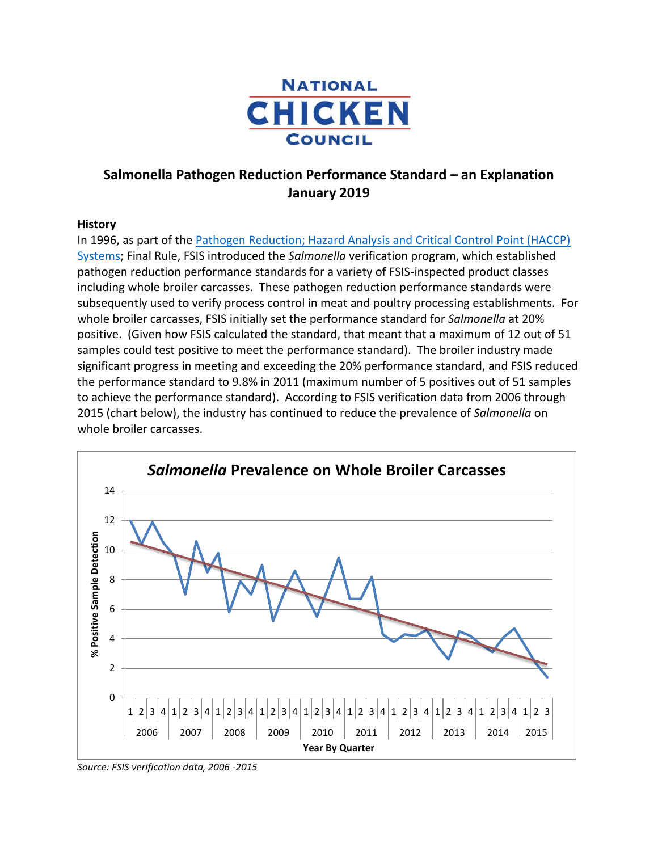

# **Salmonella Pathogen Reduction Performance Standard – an Explanation January 2019**

## **History**

In 1996, as part of the [Pathogen Reduction; Hazard Analysis and Critical Control Point \(HACCP\)](https://www.fsis.usda.gov/wps/wcm/connect/e113b15a-837c-46af-8303-73f7c11fb666/93-016F.pdf?MOD=AJPERES)  [Systems;](https://www.fsis.usda.gov/wps/wcm/connect/e113b15a-837c-46af-8303-73f7c11fb666/93-016F.pdf?MOD=AJPERES) Final Rule, FSIS introduced the *Salmonella* verification program, which established pathogen reduction performance standards for a variety of FSIS-inspected product classes including whole broiler carcasses. These pathogen reduction performance standards were subsequently used to verify process control in meat and poultry processing establishments. For whole broiler carcasses, FSIS initially set the performance standard for *Salmonella* at 20% positive. (Given how FSIS calculated the standard, that meant that a maximum of 12 out of 51 samples could test positive to meet the performance standard). The broiler industry made significant progress in meeting and exceeding the 20% performance standard, and FSIS reduced the performance standard to 9.8% in 2011 (maximum number of 5 positives out of 51 samples to achieve the performance standard). According to FSIS verification data from 2006 through 2015 (chart below), the industry has continued to reduce the prevalence of *Salmonella* on whole broiler carcasses.



*Source: FSIS verification data, 2006 -2015*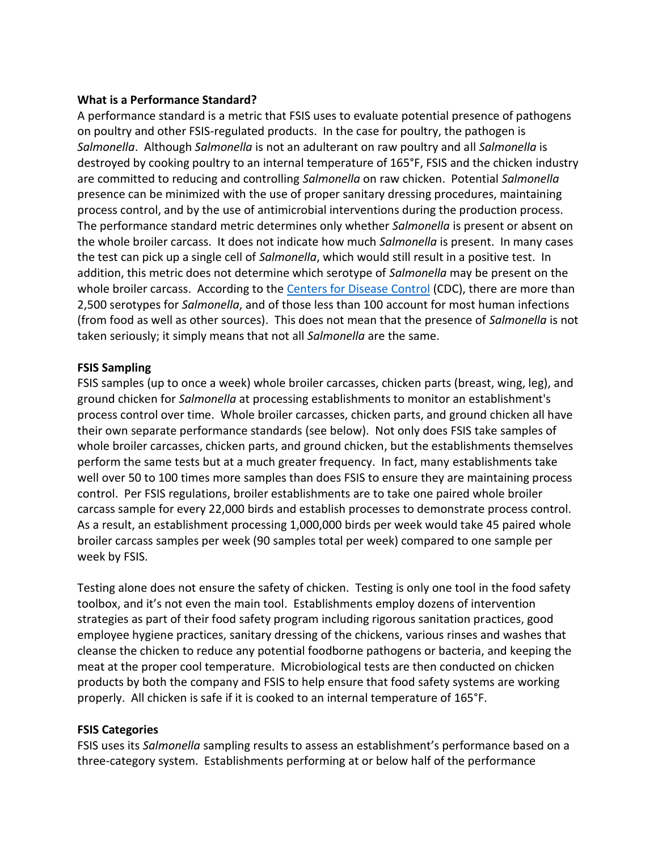## **What is a Performance Standard?**

A performance standard is a metric that FSIS uses to evaluate potential presence of pathogens on poultry and other FSIS-regulated products. In the case for poultry, the pathogen is *Salmonella*. Although *Salmonella* is not an adulterant on raw poultry and all *Salmonella* is destroyed by cooking poultry to an internal temperature of 165°F, FSIS and the chicken industry are committed to reducing and controlling *Salmonella* on raw chicken. Potential *Salmonella* presence can be minimized with the use of proper sanitary dressing procedures, maintaining process control, and by the use of antimicrobial interventions during the production process. The performance standard metric determines only whether *Salmonella* is present or absent on the whole broiler carcass. It does not indicate how much *Salmonella* is present. In many cases the test can pick up a single cell of *Salmonella*, which would still result in a positive test. In addition, this metric does not determine which serotype of *Salmonella* may be present on the whole broiler carcass. According to the **Centers for Disease Control** (CDC), there are more than 2,500 serotypes for *Salmonella*, and of those less than 100 account for most human infections (from food as well as other sources). This does not mean that the presence of *Salmonella* is not taken seriously; it simply means that not all *Salmonella* are the same.

## **FSIS Sampling**

FSIS samples (up to once a week) whole broiler carcasses, chicken parts (breast, wing, leg), and ground chicken for *Salmonella* at processing establishments to monitor an establishment's process control over time. Whole broiler carcasses, chicken parts, and ground chicken all have their own separate performance standards (see below). Not only does FSIS take samples of whole broiler carcasses, chicken parts, and ground chicken, but the establishments themselves perform the same tests but at a much greater frequency. In fact, many establishments take well over 50 to 100 times more samples than does FSIS to ensure they are maintaining process control. Per FSIS regulations, broiler establishments are to take one paired whole broiler carcass sample for every 22,000 birds and establish processes to demonstrate process control. As a result, an establishment processing 1,000,000 birds per week would take 45 paired whole broiler carcass samples per week (90 samples total per week) compared to one sample per week by FSIS.

Testing alone does not ensure the safety of chicken. Testing is only one tool in the food safety toolbox, and it's not even the main tool. Establishments employ dozens of intervention strategies as part of their food safety program including rigorous sanitation practices, good employee hygiene practices, sanitary dressing of the chickens, various rinses and washes that cleanse the chicken to reduce any potential foodborne pathogens or bacteria, and keeping the meat at the proper cool temperature. Microbiological tests are then conducted on chicken products by both the company and FSIS to help ensure that food safety systems are working properly. All chicken is safe if it is cooked to an internal temperature of 165°F.

## **FSIS Categories**

FSIS uses its *Salmonella* sampling results to assess an establishment's performance based on a three-category system. Establishments performing at or below half of the performance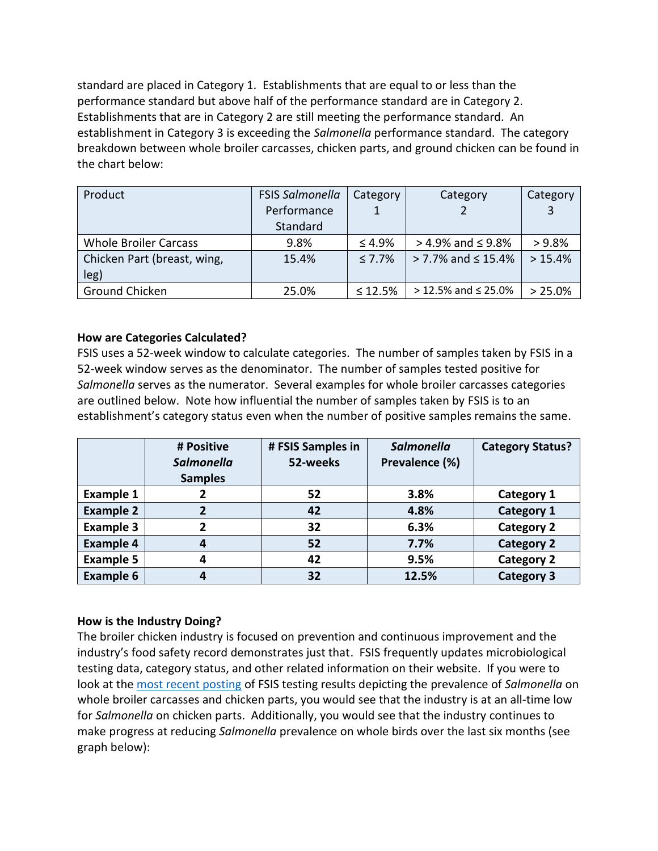standard are placed in Category 1. Establishments that are equal to or less than the performance standard but above half of the performance standard are in Category 2. Establishments that are in Category 2 are still meeting the performance standard. An establishment in Category 3 is exceeding the *Salmonella* performance standard. The category breakdown between whole broiler carcasses, chicken parts, and ground chicken can be found in the chart below:

| Product                      | <b>FSIS Salmonella</b> | Category      | Category                   | Category |
|------------------------------|------------------------|---------------|----------------------------|----------|
|                              | Performance            |               |                            |          |
|                              | Standard               |               |                            |          |
| <b>Whole Broiler Carcass</b> | 9.8%                   | $\leq 4.9\%$  | $> 4.9\%$ and $\leq 9.8\%$ | >9.8%    |
| Chicken Part (breast, wing,  | 15.4%                  | $\leq 7.7\%$  | $>$ 7.7% and $\leq$ 15.4%  | > 15.4%  |
| leg)                         |                        |               |                            |          |
| Ground Chicken               | 25.0%                  | $\leq 12.5\%$ | $>$ 12.5% and $\leq$ 25.0% | > 25.0%  |

## **How are Categories Calculated?**

FSIS uses a 52-week window to calculate categories. The number of samples taken by FSIS in a 52-week window serves as the denominator. The number of samples tested positive for *Salmonella* serves as the numerator. Several examples for whole broiler carcasses categories are outlined below. Note how influential the number of samples taken by FSIS is to an establishment's category status even when the number of positive samples remains the same.

|                  | # Positive<br><b>Salmonella</b><br><b>Samples</b> | # FSIS Samples in<br>52-weeks | <b>Salmonella</b><br>Prevalence (%) | <b>Category Status?</b> |
|------------------|---------------------------------------------------|-------------------------------|-------------------------------------|-------------------------|
| <b>Example 1</b> | 2                                                 | 52                            | 3.8%                                | Category 1              |
| <b>Example 2</b> | $\overline{2}$                                    | 42                            | 4.8%                                | <b>Category 1</b>       |
| <b>Example 3</b> | 2                                                 | 32                            | 6.3%                                | <b>Category 2</b>       |
| <b>Example 4</b> | 4                                                 | 52                            | 7.7%                                | <b>Category 2</b>       |
| <b>Example 5</b> | 4                                                 | 42                            | 9.5%                                | <b>Category 2</b>       |
| <b>Example 6</b> | 4                                                 | 32                            | 12.5%                               | <b>Category 3</b>       |

## **How is the Industry Doing?**

The broiler chicken industry is focused on prevention and continuous improvement and the industry's food safety record demonstrates just that. FSIS frequently updates microbiological testing data, category status, and other related information on their website. If you were to look at the [most recent posting](https://www.fsis.usda.gov/wps/portal/fsis/topics/data-collection-and-reports/microbiology/sampling-project-results) of FSIS testing results depicting the prevalence of *Salmonella* on whole broiler carcasses and chicken parts, you would see that the industry is at an all-time low for *Salmonella* on chicken parts. Additionally, you would see that the industry continues to make progress at reducing *Salmonella* prevalence on whole birds over the last six months (see graph below):